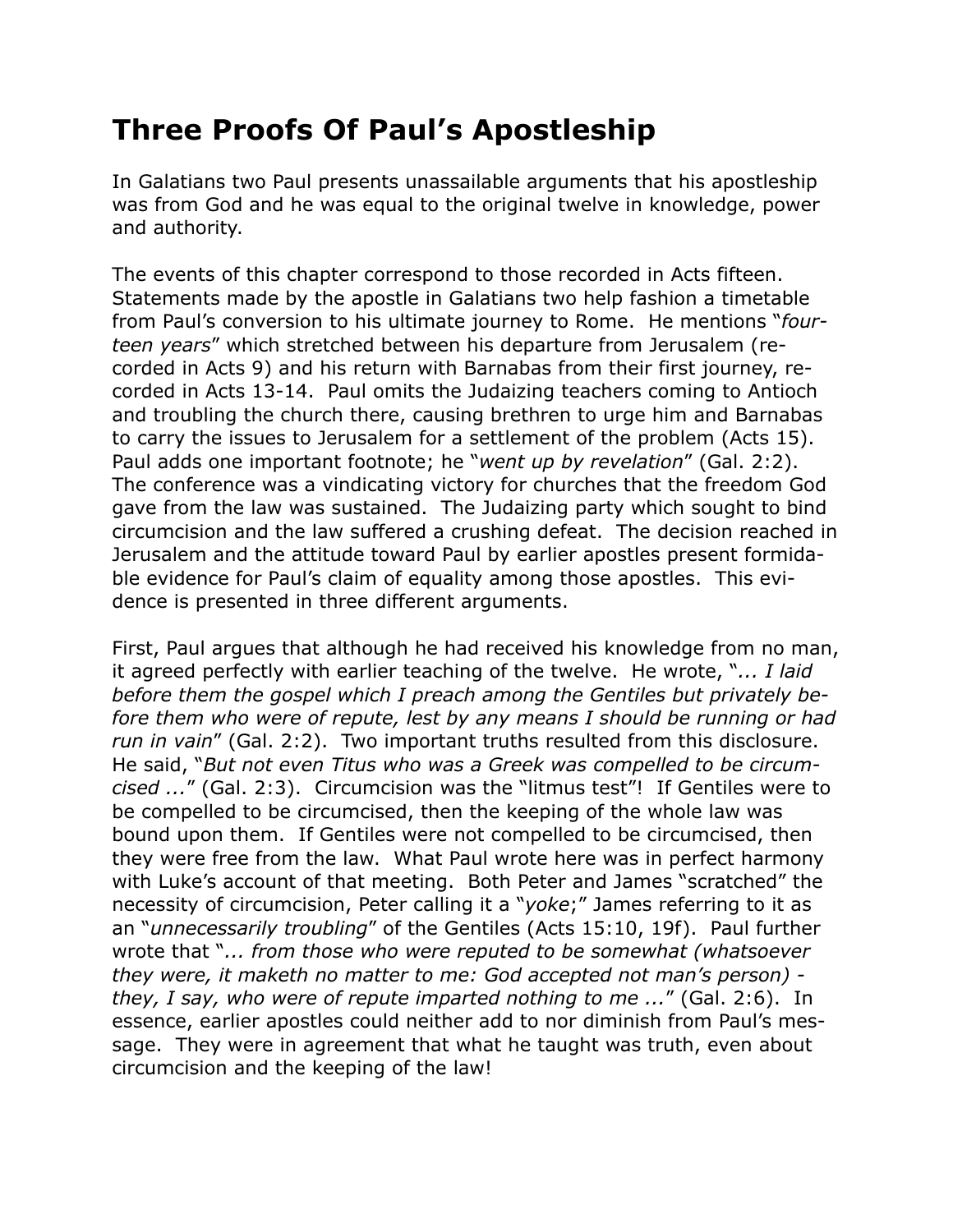## **Three Proofs Of Paul's Apostleship**

In Galatians two Paul presents unassailable arguments that his apostleship was from God and he was equal to the original twelve in knowledge, power and authority.

The events of this chapter correspond to those recorded in Acts fifteen. Statements made by the apostle in Galatians two help fashion a timetable from Paul's conversion to his ultimate journey to Rome. He mentions "*fourteen years*" which stretched between his departure from Jerusalem (recorded in Acts 9) and his return with Barnabas from their first journey, recorded in Acts 13-14. Paul omits the Judaizing teachers coming to Antioch and troubling the church there, causing brethren to urge him and Barnabas to carry the issues to Jerusalem for a settlement of the problem (Acts 15). Paul adds one important footnote; he "*went up by revelation*" (Gal. 2:2). The conference was a vindicating victory for churches that the freedom God gave from the law was sustained. The Judaizing party which sought to bind circumcision and the law suffered a crushing defeat. The decision reached in Jerusalem and the attitude toward Paul by earlier apostles present formidable evidence for Paul's claim of equality among those apostles. This evidence is presented in three different arguments.

First, Paul argues that although he had received his knowledge from no man, it agreed perfectly with earlier teaching of the twelve. He wrote, "*... I laid before them the gospel which I preach among the Gentiles but privately before them who were of repute, lest by any means I should be running or had run in vain*" (Gal. 2:2). Two important truths resulted from this disclosure. He said, "*But not even Titus who was a Greek was compelled to be circumcised ...*" (Gal. 2:3). Circumcision was the "litmus test"! If Gentiles were to be compelled to be circumcised, then the keeping of the whole law was bound upon them. If Gentiles were not compelled to be circumcised, then they were free from the law. What Paul wrote here was in perfect harmony with Luke's account of that meeting. Both Peter and James "scratched" the necessity of circumcision, Peter calling it a "*yoke*;" James referring to it as an "*unnecessarily troubling*" of the Gentiles (Acts 15:10, 19f). Paul further wrote that "*... from those who were reputed to be somewhat (whatsoever they were, it maketh no matter to me: God accepted not man's person) they, I say, who were of repute imparted nothing to me ...*" (Gal. 2:6). In essence, earlier apostles could neither add to nor diminish from Paul's message. They were in agreement that what he taught was truth, even about circumcision and the keeping of the law!